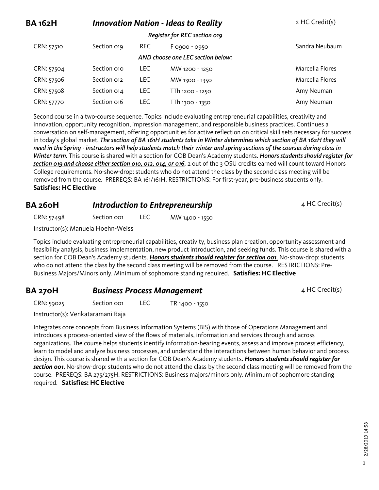| <b>BA 162H</b> | <b>Innovation Nation - Ideas to Reality</b> |            |                                   | 2 HC Credit(s)  |
|----------------|---------------------------------------------|------------|-----------------------------------|-----------------|
|                |                                             |            | Register for REC section 019      |                 |
| CRN: 57510     | Section 019                                 | REC        | F 0900 - 0950                     | Sandra Neubaum  |
|                |                                             |            | AND choose one LEC section below: |                 |
| CRN: 57504     | Section 010                                 | <b>LEC</b> | MW 1200 - 1250                    | Marcella Flores |
| CRN: 57506     | Section 012                                 | <b>LEC</b> | MW 1300 - 1350                    | Marcella Flores |
| CRN: 57508     | Section 014                                 | <b>LEC</b> | TTh 1200 - 1250                   | Amy Neuman      |
| CRN: 57770     | Section 016                                 | <b>LEC</b> | TTh 1300 - 1350                   | Amy Neuman      |

Second course in a two-course sequence. Topics include evaluating entrepreneurial capabilities, creativity and innovation, opportunity recognition, impression management, and responsible business practices. Continues a conversation on self-management, offering opportunities for active reflection on critical skill sets necessary for success in today's global market. *The section of BA 161H students take in Winter determines which section of BA 162H they will need in the Spring - instructors will help students match their winter and spring sections of the courses during class in Winter term.* This course is shared with a section for COB Dean's Academy students. *Honors students should register for section 019 and choose either section 010, 012, 014, or 016.* 2 out of the 3 OSU credits earned will count toward Honors College requirements. No-show-drop: students who do not attend the class by the second class meeting will be removed from the course. PREREQS: BA 161/161H. RESTRICTIONS: For first-year, pre-business students only. **Satisfies: HC Elective**

#### **BA 260H** *Introduction to Entrepreneurship* 4 HC Credit(s)

CRN: 57498 Section 001 LEC MW 1400 - 1550

Instructor(s): Manuela Hoehn-Weiss

Topics include evaluating entrepreneurial capabilities, creativity, business plan creation, opportunity assessment and feasibility analysis, business implementation, new product introduction, and seeking funds. This course is shared with a section for COB Dean's Academy students. *Honors students should register for section 001*. No-show-drop: students who do not attend the class by the second class meeting will be removed from the course. RESTRICTIONS: Pre-Business Majors/Minors only. Minimum of sophomore standing required. **Satisfies: HC Elective**

#### **BA 270H Business Process Management** 4 HC Credit(s)

CRN: 59025 Section 001 LEC TR 1400 - 1550

Instructor(s): Venkataramani Raja

Integrates core concepts from Business Information Systems (BIS) with those of Operations Management and introduces a process-oriented view of the flows of materials, information and services through and across organizations. The course helps students identify information-bearing events, assess and improve process efficiency, learn to model and analyze business processes, and understand the interactions between human behavior and process design. This course is shared with a section for COB Dean's Academy students. *Honors students should register for section 001*. No-show-drop: students who do not attend the class by the second class meeting will be removed from the course. PREREQS: BA 275/275H. RESTRICTIONS: Business majors/minors only. Minimum of sophomore standing required. **Satisfies: HC Elective**

> 2/28/2019 14:58 2/28/2019 14:58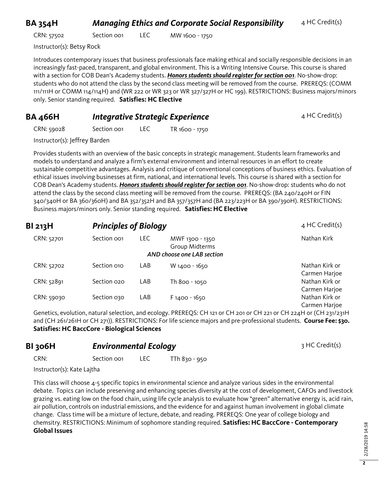#### **BA 354H** *Managing Ethics and Corporate Social Responsibility* 4 HC Credit(s)

CRN: 57502 Section 001 LEC MW 1600 - 1750

Instructor(s): Betsy Rock

Introduces contemporary issues that business professionals face making ethical and socially responsible decisions in an increasingly fast-paced, transparent, and global environment. This is a Writing Intensive Course. This course is shared with a section for COB Dean's Academy students. *Honors students should register for section 001*. No-show-drop: students who do not attend the class by the second class meeting will be removed from the course. PREREQS: (COMM 111/111H or COMM 114/114H) and (WR 222 or WR 323 or WR 327/327H or HC 199). RESTRICTIONS: Business majors/minors only. Senior standing required. **Satisfies: HC Elective**

#### **BA 466H** *Integrative Strategic Experience* 4 HC Credit(s)

CRN: 59028 Section 001 LEC TR 1600 - 1750

Instructor(s): Jeffrey Barden

Provides students with an overview of the basic concepts in strategic management. Students learn frameworks and models to understand and analyze a firm's external environment and internal resources in an effort to create sustainable competitive advantages. Analysis and critique of conventional conceptions of business ethics. Evaluation of ethical issues involving businesses at firm, national, and international levels. This course is shared with a section for COB Dean's Academy students. *Honors students should register for section 001*. No-show-drop: students who do not attend the class by the second class meeting will be removed from the course. PREREQS: (BA 240/240H or FIN 340/340H or BA 360/360H) and BA 352/352H and BA 357/357H and (BA 223/223H or BA 390/390H). RESTRICTIONS: Business majors/minors only. Senior standing required. **Satisfies: HC Elective**

| <b>BI 213H</b> | <b>Principles of Biology</b> |      | 4 HC Credit(s)                                                  |                                 |
|----------------|------------------------------|------|-----------------------------------------------------------------|---------------------------------|
| CRN: 52701     | Section oo <sub>1</sub>      | LEC. | MWF 1300 - 1350<br>Group Midterms<br>AND choose one LAB section | Nathan Kirk                     |
| CRN: 52702     | Section 010                  | LAB  | W 1400 - 1650                                                   | Nathan Kirk or                  |
| CRN: 52891     | Section 020                  | LAB  |                                                                 | Carmen Harjoe<br>Nathan Kirk or |
|                |                              |      | Th 800 - 1050                                                   | Carmen Harjoe                   |
| CRN: 59030     | Section 030                  | LAB  | $F1400 - 1650$                                                  | Nathan Kirk or                  |
|                |                              |      |                                                                 | Carmen Harjoe                   |

Genetics, evolution, natural selection, and ecology. PREREQS: CH 121 or CH 201 or CH 221 or CH 224H or (CH 231/231H and (CH 261/261H or CH 271)). RESTRICTIONS: For life science majors and pre-professional students. **Course Fee: \$30. Satisfies: HC BaccCore - Biological Sciences**

| <b>BI 306H</b>              | <b>Environmental Ecology</b> |      |               | 3 HC Credit(s) |
|-----------------------------|------------------------------|------|---------------|----------------|
| CRN:                        | Section oo <sub>1</sub>      | LEC. | TTh 830 - 950 |                |
| $Instructor(s)$ Kate Laitha |                              |      |               |                |

Instructor(s): Kate Lajtha

This class will choose 4-5 specific topics in environmental science and analyze various sides in the environmental debate. Topics can include preserving and enhancing species diversity at the cost of development, CAFOs and livestock grazing vs. eating low on the food chain, using life cycle analysis to evaluate how "green" alternative energy is, acid rain, air pollution, controls on industrial emissions, and the evidence for and against human involvement in global climate change. Class time will be a mixture of lecture, debate, and reading. PREREQS: One year of college biology and chemsitry. RESTRICTIONS: Minimum of sophomore standing required. **Satisfies: HC BaccCore - Contemporary Global Issues**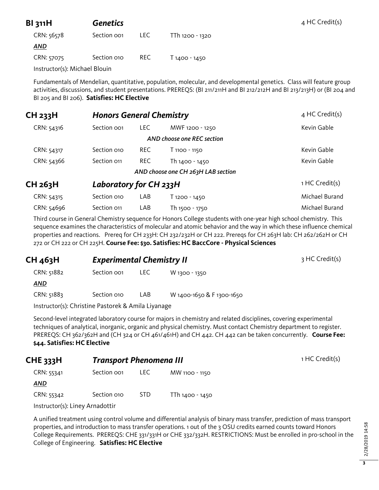| <b>BI 311H</b>                | <b>Genetics</b> |      |                 | $4$ HC Credit(s) |
|-------------------------------|-----------------|------|-----------------|------------------|
| CRN: 56578                    | Section oo1     | LEC. | TTh 1200 - 1320 |                  |
| <u>AND</u>                    |                 |      |                 |                  |
| CRN: 57075                    | Section 010     | REC. | T 1400 - 1450   |                  |
| Instructor(s): Michael Blouin |                 |      |                 |                  |

Fundamentals of Mendelian, quantitative, population, molecular, and developmental genetics. Class will feature group activities, discussions, and student presentations. PREREQS: (BI 211/211H and BI 212/212H and BI 213/213H) or (BI 204 and BI 205 and BI 206). **Satisfies: HC Elective**

| CH <sub>233</sub> H | <b>Honors General Chemistry</b> |            |                                    | $4$ HC Credit(s) |
|---------------------|---------------------------------|------------|------------------------------------|------------------|
| CRN: 54316          | Section oo1                     | LEC.       | MWF 1200 - 1250                    | Kevin Gable      |
|                     |                                 |            | AND choose one REC section         |                  |
| CRN: 54317          | Section 010                     | <b>REC</b> | T 1100 - 1150                      | Kevin Gable      |
| CRN: 54366          | Section 011                     | <b>REC</b> | Th 1400 - 1450                     | Kevin Gable      |
|                     |                                 |            | AND choose one CH 263H LAB section |                  |
| CH <sub>263</sub> H | Laboratory for CH 233H          |            |                                    | 1 HC Credit(s)   |
| CRN: 54315          | Section 010                     | LAB        | T 1200 - 1450                      | Michael Burand   |
| CRN: 54696          | Section 011                     | LAB        | Th 1500 - 1750                     | Michael Burand   |

Third course in General Chemistry sequence for Honors College students with one-year high school chemistry. This sequence examines the characteristics of molecular and atomic behavior and the way in which these influence chemical properties and reactions. Prereq for CH 233H: CH 232/232H or CH 222. Prereqs for CH 263H lab: CH 262/262H or CH 272 or CH 222 or CH 225H. **Course Fee: \$30. Satisfies: HC BaccCore - Physical Sciences**

#### **CH 463H Experimental Chemistry II** 3 HC Credit(s) CRN: 51882 Section 001 LEC W 1300 - 1350

| <b>CRIV.</b> 51002 | <b>SECLIOII OOI</b> | LEC  | <b>W 1300 - 1350</b>      |  |
|--------------------|---------------------|------|---------------------------|--|
| AND                |                     |      |                           |  |
| CRN: 51883         | Section 010         | LAB. | W 1400-1650 & F 1300-1650 |  |

Instructor(s): Christine Pastorek & Amila Liyanage

Second-level integrated laboratory course for majors in chemistry and related disciplines, covering experimental techniques of analytical, inorganic, organic and physical chemistry. Must contact Chemistry department to register. PREREQS: CH 362/362H and (CH 324 or CH 461/461H) and CH 442. CH 442 can be taken concurrently. **Course Fee: \$44. Satisfies: HC Elective**

| <b>CHE 333H</b> | <b>Transport Phenomena III</b> |      |                 | 1 HC Credit(s) |
|-----------------|--------------------------------|------|-----------------|----------------|
| CRN: 55341      | Section oo1                    | LEC. | MW 1100 - 1150  |                |
| <b>AND</b>      |                                |      |                 |                |
| CRN: 55342      | Section 010                    | STD. | TTh 1400 - 1450 |                |

Instructor(s): Liney Arnadottir

A unified treatment using control volume and differential analysis of binary mass transfer, prediction of mass transport properties, and introduction to mass transfer operations. 1 out of the 3 OSU credits earned counts toward Honors College Requirements. PREREQS: CHE 331/331H or CHE 332/332H. RESTRICTIONS: Must be enrolled in pro-school in the College of Engineering. **Satisfies: HC Elective**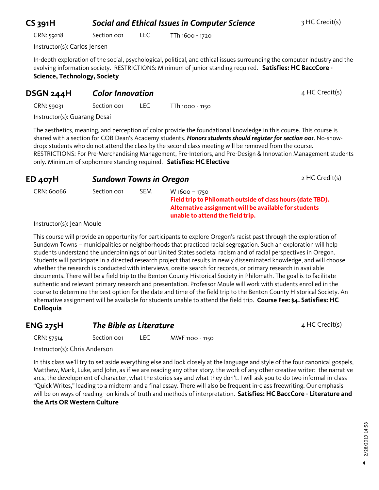# **4**

2/28/2019 14:58 2/28/2019 14:58

# **CS 391H Social and Ethical Issues in Computer Science** 3 HC Credit(s)

CRN: 59218 Section 001 LEC TTh 1600 - 1720

Instructor(s): Carlos Jensen

In-depth exploration of the social, psychological, political, and ethical issues surrounding the computer industry and the evolving information society. RESTRICTIONS: Minimum of junior standing required. **Satisfies: HC BaccCore - Science, Technology, Society**

#### **DSGN 244H Color Innovation COLOR 100 AMPLE 24 HC Credit(s)**

CRN: 59031 Section 001 LEC TTh 1000 - 1150

Instructor(s): Guarang Desai

The aesthetics, meaning, and perception of color provide the foundational knowledge in this course. This course is shared with a section for COB Dean's Academy students. *Honors students should register for section 001*. No-showdrop: students who do not attend the class by the second class meeting will be removed from the course. RESTRICTIONS: For Pre-Merchandising Management, Pre-Interiors, and Pre-Design & Innovation Management students only. Minimum of sophomore standing required. **Satisfies: HC Elective**

| -- <del>-</del> - - - |             |     |                                                                                                                     |
|-----------------------|-------------|-----|---------------------------------------------------------------------------------------------------------------------|
| CRN: 60066            | Section oo1 | SEM | W 1600 - 1750                                                                                                       |
|                       |             |     | Field trip to Philomath outside of class hours (date TBD).<br>Alternative assignment will be available for students |
|                       |             |     | unable to attend the field trip.                                                                                    |

**ED 407H Sundown Towns in Oregon 2 HC Credit(s)** 

Instructor(s): Jean Moule

This course will provide an opportunity for participants to explore Oregon's racist past through the exploration of Sundown Towns – municipalities or neighborhoods that practiced racial segregation. Such an exploration will help students understand the underpinnings of our United States societal racism and of racial perspectives in Oregon. Students will participate in a directed research project that results in newly disseminated knowledge, and will choose whether the research is conducted with interviews, onsite search for records, or primary research in available documents. There will be a field trip to the Benton County Historical Society in Philomath. The goal is to facilitate authentic and relevant primary research and presentation. Professor Moule will work with students enrolled in the course to determine the best option for the date and time of the field trip to the Benton County Historical Society. An alternative assignment will be available for students unable to attend the field trip. **Course Fee: \$4. Satisfies: HC Colloquia**

| <b>ENG 275H</b> | The Bible as Literature |      |                 | 4 HC Credit(s) |
|-----------------|-------------------------|------|-----------------|----------------|
| CRN: 57514      | Section oo <sub>1</sub> | LEC. | MWF 1100 - 1150 |                |

Instructor(s): Chris Anderson

In this class we'll try to set aside everything else and look closely at the language and style of the four canonical gospels, Matthew, Mark, Luke, and John, as if we are reading any other story, the work of any other creative writer: the narrative arcs, the development of character, what the stories say and what they don't. I will ask you to do two informal in-class "Quick Writes," leading to a midterm and a final essay. There will also be frequent in-class freewriting. Our emphasis will be on ways of reading--on kinds of truth and methods of interpretation. **Satisfies: HC BaccCore - Literature and the Arts OR Western Culture**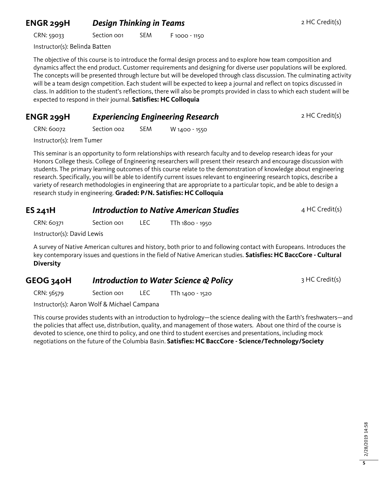#### **ENGR 299H** *Design Thinking in Teams* **2 HC Credit(s)**

CRN: 59033 Section 001 SEM F 1000 - 1150

Instructor(s): Belinda Batten

The objective of this course is to introduce the formal design process and to explore how team composition and dynamics affect the end product. Customer requirements and designing for diverse user populations will be explored. The concepts will be presented through lecture but will be developed through class discussion. The culminating activity will be a team design competition. Each student will be expected to keep a journal and reflect on topics discussed in class. In addition to the student's reflections, there will also be prompts provided in class to which each student will be expected to respond in their journal. **Satisfies: HC Colloquia**

#### **ENGR 299H** *Experiencing Engineering Research* 2 HC Credit(s)

CRN: 60072 Section 002 SEM W 1400 - 1550

Instructor(s): Irem Tumer

This seminar is an opportunity to form relationships with research faculty and to develop research ideas for your Honors College thesis. College of Engineering researchers will present their research and encourage discussion with students. The primary learning outcomes of this course relate to the demonstration of knowledge about engineering research. Specifically, you will be able to identify current issues relevant to engineering research topics, describe a variety of research methodologies in engineering that are appropriate to a particular topic, and be able to design a research study in engineering. **Graded: P/N. Satisfies: HC Colloquia**

| ES 241H    | <b>Introduction to Native American Studies</b> | $4$ HC Credit(s) |                 |  |
|------------|------------------------------------------------|------------------|-----------------|--|
| CRN: 60371 | Section oo                                     | LEC.             | TTh 1800 - 1950 |  |
|            |                                                |                  |                 |  |

Instructor(s): David Lewis

A survey of Native American cultures and history, both prior to and following contact with Europeans. Introduces the key contemporary issues and questions in the field of Native American studies. **Satisfies: HC BaccCore - Cultural Diversity**

#### **GEOG 340H** *Introduction to Water Science & Policy* 3 HC Credit(s)

CRN: 56579 Section 001 LEC TTh 1400 - 1520

Instructor(s): Aaron Wolf & Michael Campana

This course provides students with an introduction to hydrology—the science dealing with the Earth's freshwaters—and the policies that affect use, distribution, quality, and management of those waters. About one third of the course is devoted to science, one third to policy, and one third to student exercises and presentations, including mock negotiations on the future of the Columbia Basin. **Satisfies: HC BaccCore - Science/Technology/Society**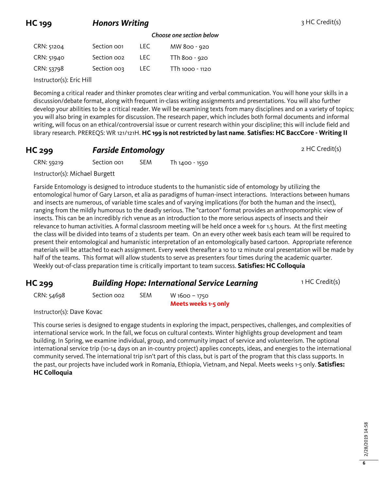## **HC 199 Honors Writing According HC Credit(s) HC Credit(s)**

#### *Choose one section below*

| CRN: 51204 | Section oo1 | TEC. | MW 800 - 920    |
|------------|-------------|------|-----------------|
| CRN: 51940 | Section oo2 | TEC. | TTh 800 - 920   |
| CRN: 53798 | Section 003 | TEC. | TTh 1000 - 1120 |

Instructor(s): Eric Hill

Becoming a critical reader and thinker promotes clear writing and verbal communication. You will hone your skills in a discussion/debate format, along with frequent in-class writing assignments and presentations. You will also further develop your abilities to be a critical reader. We will be examining texts from many disciplines and on a variety of topics; you will also bring in examples for discussion. The research paper, which includes both formal documents and informal writing, will focus on an ethical/controversial issue or current research within your discipline; this will include field and library research. PREREQS: WR 121/121H. **HC 199 is not restricted by last name**. **Satisfies: HC BaccCore - Writing II**

#### **HC 299 Farside Entomology 2 HC Credit(s)**

CRN: 59219 Section 001 SEM Th 1400 - 1550

Instructor(s): Michael Burgett

Farside Entomology is designed to introduce students to the humanistic side of entomology by utilizing the entomological humor of Gary Larson, et alia as paradigms of human-insect interactions. Interactions between humans and insects are numerous, of variable time scales and of varying implications (for both the human and the insect), ranging from the mildly humorous to the deadly serious. The "cartoon" format provides an anthropomorphic view of insects. This can be an incredibly rich venue as an introduction to the more serious aspects of insects and their relevance to human activities. A formal classroom meeting will be held once a week for 1.5 hours. At the first meeting the class will be divided into teams of 2 students per team. On an every other week basis each team will be required to present their entomological and humanistic interpretation of an entomologically based cartoon. Appropriate reference materials will be attached to each assignment. Every week thereafter a 10 to 12 minute oral presentation will be made by half of the teams. This format will allow students to serve as presenters four times during the academic quarter. Weekly out-of-class preparation time is critically important to team success. **Satisfies: HC Colloquia**

#### **HC 299 Building Hope: International Service Learning** 1 HC Credit(s)

# CRN: 54698 Section 002 SEM W 1600 – 1750

**Meets weeks 1-5 only**

Instructor(s): Dave Kovac

This course series is designed to engage students in exploring the impact, perspectives, challenges, and complexities of international service work. In the fall, we focus on cultural contexts. Winter highlights group development and team building. In Spring, we examine individual, group, and community impact of service and volunteerism. The optional international service trip (10-14 days on an in-country project) applies concepts, ideas, and energies to the international community served. The international trip isn't part of this class, but is part of the program that this class supports. In the past, our projects have included work in Romania, Ethiopia, Vietnam, and Nepal. Meets weeks 1-5 only. **Satisfies: HC Colloquia**

**6**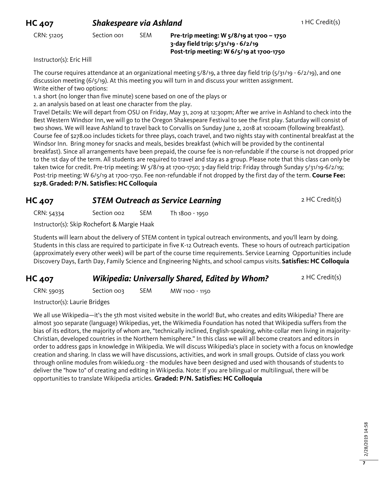#### CRN: 51205 Section 001 SEM **Pre-trip meeting: W 5/8/19 at 1700 – 1750 3-day field trip: 5/31/19 - 6/2/19 Post-trip meeting: W 6/5/19 at 1700-1750**

Instructor(s): Eric Hill

The course requires attendance at an organizational meeting  $5/8/19$ , a three day field trip ( $5/31/19 - 6/2/19$ ), and one discussion meeting (6/5/19). At this meeting you will turn in and discuss your written assignment. Write either of two options:

1. a short (no longer than five minute) scene based on one of the plays or

2. an analysis based on at least one character from the play.

Travel Details: We will depart from OSU on Friday, May 31, 2019 at 12:30pm; After we arrive in Ashland to check into the Best Western Windsor Inn, we will go to the Oregon Shakespeare Festival to see the first play. Saturday will consist of two shows. We will leave Ashland to travel back to Corvallis on Sunday June 2, 2018 at 10:00am (following breakfast). Course fee of \$278.00 includes tickets for three plays, coach travel, and two nights stay with continental breakfast at the Windsor Inn. Bring money for snacks and meals, besides breakfast (which will be provided by the continental breakfast). Since all arrangements have been prepaid, the course fee is non-refundable if the course is not dropped prior to the 1st day of the term. All students are required to travel and stay as a group. Please note that this class can only be taken twice for credit. Pre-trip meeting: W 5/8/19 at 1700-1750; 3-day field trip: Friday through Sunday 5/31/19-6/2/19; Post-trip meeting: W 6/5/19 at 1700-1750. Fee non-refundable if not dropped by the first day of the term. **Course Fee: \$278. Graded: P/N. Satisfies: HC Colloquia**

### **HC 407 STEM Outreach as Service Learning 2 HC Credit(s)**

CRN: 54334 Section 002 SEM Th 1800 - 1950

Instructor(s): Skip Rochefort & Margie Haak

Students will learn about the delivery of STEM content in typical outreach environments, and you'll learn by doing. Students in this class are required to participate in five K-12 Outreach events. These 10 hours of outreach participation (approximately every other week) will be part of the course time requirements. Service Learning Opportunities include Discovery Days, Earth Day, Family Science and Engineering Nights, and school campus visits. **Satisfies: HC Colloquia**

#### **HC 407** *Wikipedia: Universally Shared, Edited by Whom?* 2 HC Credit(s)

CRN: 59035 Section 003 SEM MW 1100 - 1150

Instructor(s): Laurie Bridges

We all use Wikipedia—it's the 5th most visited website in the world! But, who creates and edits Wikipedia? There are almost 300 separate (language) Wikipedias, yet, the Wikimedia Foundation has noted that Wikipedia suffers from the bias of its editors, the majority of whom are, "technically inclined, English-speaking, white-collar men living in majority-Christian, developed countries in the Northern hemisphere." In this class we will all become creators and editors in order to address gaps in knowledge in Wikipedia. We will discuss Wikipedia's place in society with a focus on knowledge creation and sharing. In class we will have discussions, activities, and work in small groups. Outside of class you work through online modules from wikiedu.org - the modules have been designed and used with thousands of students to deliver the "how to" of creating and editing in Wikipedia. Note: If you are bilingual or multilingual, there will be opportunities to translate Wikipedia articles. **Graded: P/N. Satisfies: HC Colloquia**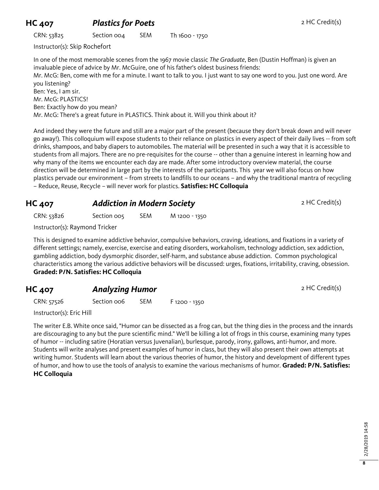### **HC 407 Plastics for Poets** 2 HC Credit(s)

CRN: 53825 Section 004 SEM Th 1600 - 1750

Instructor(s): Skip Rochefort

In one of the most memorable scenes from the 1967 movie classic *The Graduate*, Ben (Dustin Hoffman) is given an invaluable piece of advice by Mr. McGuire, one of his father's oldest business friends: Mr. McG: Ben, come with me for a minute. I want to talk to you. I just want to say one word to you. Just one word. Are you listening? Ben: Yes, I am sir. Mr. McG: PLASTICS! Ben: Exactly how do you mean? Mr. McG: There's a great future in PLASTICS. Think about it. Will you think about it?

And indeed they were the future and still are a major part of the present (because they don't break down and will never go away!). This colloquium will expose students to their reliance on plastics in every aspect of their daily lives -- from soft drinks, shampoos, and baby diapers to automobiles. The material will be presented in such a way that it is accessible to students from all majors. There are no pre-requisites for the course -- other than a genuine interest in learning how and why many of the items we encounter each day are made. After some introductory overview material, the course direction will be determined in large part by the interests of the participants. This year we will also focus on how plastics pervade our environment – from streets to landfills to our oceans – and why the traditional mantra of recycling – Reduce, Reuse, Recycle – will never work for plastics. **Satisfies: HC Colloquia**

#### **HC 407** *Addiction in Modern Society* **2 HC Credit(s)**

CRN: 53826 Section 005 SEM M 1200 - 1350

Instructor(s): Raymond Tricker

This is designed to examine addictive behavior, compulsive behaviors, craving, ideations, and fixations in a variety of different settings; namely, exercise, exercise and eating disorders, workaholism, technology addiction, sex addiction, gambling addiction, body dysmorphic disorder, self-harm, and substance abuse addiction. Common psychological characteristics among the various addictive behaviors will be discussed: urges, fixations, irritability, craving, obsession. **Graded: P/N. Satisfies: HC Colloquia**

#### **HC 407 Analyzing Humor 2 HC Credit(s)**

CRN: 57526 Section 006 SEM F 1200 - 1350

Instructor(s): Eric Hill

The writer E.B. White once said, "Humor can be dissected as a frog can, but the thing dies in the process and the innards are discouraging to any but the pure scientific mind." We'll be killing a lot of frogs in this course, examining many types of humor -- including satire (Horatian versus Juvenalian), burlesque, parody, irony, gallows, anti-humor, and more. Students will write analyses and present examples of humor in class, but they will also present their own attempts at writing humor. Students will learn about the various theories of humor, the history and development of different types of humor, and how to use the tools of analysis to examine the various mechanisms of humor. **Graded: P/N. Satisfies: HC Colloquia**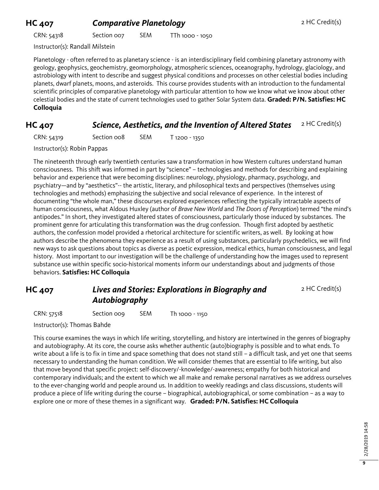#### **HC 407 Comparative Planetology 2 HC Credit(s)**

CRN: 54318 Section 007 SEM TTh 1000 - 1050

Instructor(s): Randall Milstein

Planetology - often referred to as planetary science - is an interdisciplinary field combining planetary astronomy with geology, geophysics, geochemistry, geomorphology, atmospheric sciences, oceanography, hydrology, glaciology, and astrobiology with intent to describe and suggest physical conditions and processes on other celestial bodies including planets, dwarf planets, moons, and asteroids. This course provides students with an introduction to the fundamental scientific principles of comparative planetology with particular attention to how we know what we know about other celestial bodies and the state of current technologies used to gather Solar System data. **Graded: P/N. Satisfies: HC Colloquia**

#### **HC 407 Science, Aesthetics, and the Invention of Altered States** 2 HC Credit(s)

CRN: 54319 Section 008 SEM T 1200 - 1350

Instructor(s): Robin Pappas

The nineteenth through early twentieth centuries saw a transformation in how Western cultures understand human consciousness. This shift was informed in part by "science" – technologies and methods for describing and explaining behavior and experience that were becoming disciplines: neurology, physiology, pharmacy, psychology, and psychiatry—and by "aesthetics"-- the artistic, literary, and philosophical texts and perspectives (themselves using technologies and methods) emphasizing the subjective and social relevance of experience. In the interest of documenting "the whole man," these discourses explored experiences reflecting the typically intractable aspects of human consciousness, what Aldous Huxley (author of *Brave New World* and *The Doors of Perception*) termed "the mind's antipodes." In short, they investigated altered states of consciousness, particularly those induced by substances. The prominent genre for articulating this transformation was the drug confession. Though first adopted by aesthetic authors, the confession model provided a rhetorical architecture for scientific writers, as well. By looking at how authors describe the phenomena they experience as a result of using substances, particularly psychedelics, we will find new ways to ask questions about topics as diverse as poetic expression, medical ethics, human consciousness, and legal history. Most important to our investigation will be the challenge of understanding how the images used to represent substance use within specific socio-historical moments inform our understandings about and judgments of those behaviors. **Satisfies: HC Colloquia**

#### **HC 407** *Lives and Stories: Explorations in Biography and Autobiography*

2 HC Credit(s)

CRN: 57518 Section 009 SEM Th 1000 - 1150

Instructor(s): Thomas Bahde

This course examines the ways in which life writing, storytelling, and history are intertwined in the genres of biography and autobiography. At its core, the course asks whether authentic (auto)biography is possible and to what ends. To write about a life is to fix in time and space something that does not stand still – a difficult task, and yet one that seems necessary to understanding the human condition. We will consider themes that are essential to life writing, but also that move beyond that specific project: self-discovery/-knowledge/-awareness; empathy for both historical and contemporary individuals; and the extent to which we all make and remake personal narratives as we address ourselves to the ever-changing world and people around us. In addition to weekly readings and class discussions, students will produce a piece of life writing during the course – biographical, autobiographical, or some combination – as a way to explore one or more of these themes in a significant way. **Graded: P/N. Satisfies: HC Colloquia**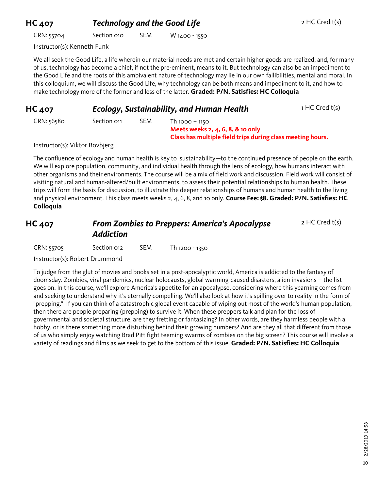## **HC 407** *Technology and the Good Life* 2 HC Credit(s)

CRN: 55704 Section 010 SEM W 1400 - 1550

Instructor(s): Kenneth Funk

We all seek the Good Life, a life wherein our material needs are met and certain higher goods are realized, and, for many of us, technology has become a chief, if not the pre-eminent, means to it. But technology can also be an impediment to the Good Life and the roots of this ambivalent nature of technology may lie in our own fallibilities, mental and moral. In this colloquium, we will discuss the Good Life, why technology can be both means and impediment to it, and how to make technology more of the former and less of the latter. **Graded: P/N. Satisfies: HC Colloquia**

| <b>HC 407</b> | <b>Ecology, Sustainability, and Human Health</b> | 1 HC Credit(s) |                                     |  |
|---------------|--------------------------------------------------|----------------|-------------------------------------|--|
| CRN: 56580    | Section on                                       | SEM            | Th 1000 - 1150                      |  |
|               |                                                  |                | Meets weeks $2, 4, 6, 8, 8$ to only |  |

Instructor(s): Viktor Bovbjerg

The confluence of ecology and human health is key to sustainability—to the continued presence of people on the earth. We will explore population, community, and individual health through the lens of ecology, how humans interact with other organisms and their environments. The course will be a mix of field work and discussion. Field work will consist of visiting natural and human-altered/built environments, to assess their potential relationships to human health. These trips will form the basis for discussion, to illustrate the deeper relationships of humans and human health to the living and physical environment. This class meets weeks 2, 4, 6, 8, and 10 only. **Course Fee: \$8. Graded: P/N. Satisfies: HC Colloquia**

**Class has multiple field trips during class meeting hours.**

#### **HC 407** *From Zombies to Preppers: America's Apocalypse Addiction* 2 HC Credit(s)

| CRN: 55705 | Section 012 | <b>SEM</b> | Th 1200 - 1350 |
|------------|-------------|------------|----------------|
|            |             |            |                |

Instructor(s): Robert Drummond

To judge from the glut of movies and books set in a post-apocalyptic world, America is addicted to the fantasy of doomsday. Zombies, viral pandemics, nuclear holocausts, global warming-caused disasters, alien invasions -- the list goes on. In this course, we'll explore America's appetite for an apocalypse, considering where this yearning comes from and seeking to understand why it's eternally compelling. We'll also look at how it's spilling over to reality in the form of "prepping." If you can think of a catastrophic global event capable of wiping out most of the world's human population, then there are people preparing (prepping) to survive it. When these preppers talk and plan for the loss of governmental and societal structure, are they fretting or fantasizing? In other words, are they harmless people with a hobby, or is there something more disturbing behind their growing numbers? And are they all that different from those of us who simply enjoy watching Brad Pitt fight teeming swarms of zombies on the big screen? This course will involve a variety of readings and films as we seek to get to the bottom of this issue. **Graded: P/N. Satisfies: HC Colloquia**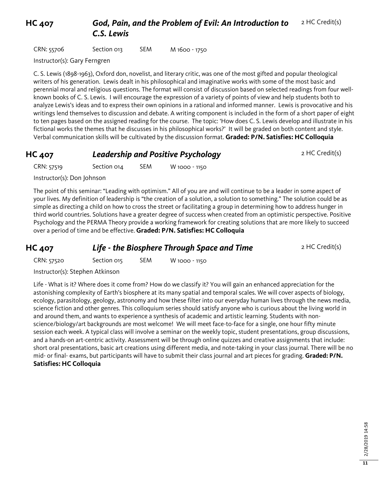**HC 407** *God, Pain, and the Problem of Evil: An Introduction to C.S. Lewis* 2 HC Credit(s)

CRN: 55706 Section 013 SEM M 1600 - 1750

Instructor(s): Gary Ferngren

C. S. Lewis (1898-1963), Oxford don, novelist, and literary critic, was one of the most gifted and popular theological writers of his generation. Lewis dealt in his philosophical and imaginative works with some of the most basic and perennial moral and religious questions. The format will consist of discussion based on selected readings from four wellknown books of C. S. Lewis. I will encourage the expression of a variety of points of view and help students both to analyze Lewis's ideas and to express their own opinions in a rational and informed manner. Lewis is provocative and his writings lend themselves to discussion and debate. A writing component is included in the form of a short paper of eight to ten pages based on the assigned reading for the course. The topic: 'How does C. S. Lewis develop and illustrate in his fictional works the themes that he discusses in his philosophical works?' It will be graded on both content and style. Verbal communication skills will be cultivated by the discussion format. **Graded: P/N. Satisfies: HC Colloquia**

# **HC 407** *Leadership and Positive Psychology* 2 HC Credit(s)

CRN: 57519 Section 014 SEM W 1000 - 1150

Instructor(s): Don Johnson

The point of this seminar: "Leading with optimism." All of you are and will continue to be a leader in some aspect of your lives. My definition of leadership is "the creation of a solution, a solution to something." The solution could be as simple as directing a child on how to cross the street or facilitating a group in determining how to address hunger in third world countries. Solutions have a greater degree of success when created from an optimistic perspective. Positive Psychology and the PERMA Theory provide a working framework for creating solutions that are more likely to succeed over a period of time and be effective. **Graded: P/N. Satisfies: HC Colloquia**

**HC 407 Life - the Biosphere Through Space and Time** 2 HC Credit(s)

CRN: 57520 Section 015 SEM W 1000 - 1150

Instructor(s): Stephen Atkinson

Life - What is it? Where does it come from? How do we classify it? You will gain an enhanced appreciation for the astonishing complexity of Earth's biosphere at its many spatial and temporal scales. We will cover aspects of biology, ecology, parasitology, geology, astronomy and how these filter into our everyday human lives through the news media, science fiction and other genres. This colloquium series should satisfy anyone who is curious about the living world in and around them, and wants to experience a synthesis of academic and artistic learning. Students with nonscience/biology/art backgrounds are most welcome! We will meet face-to-face for a single, one hour fifty minute session each week. A typical class will involve a seminar on the weekly topic, student presentations, group discussions, and a hands-on art-centric activity. Assessment will be through online quizzes and creative assignments that include: short oral presentations, basic art creations using different media, and note-taking in your class journal. There will be no mid- or final- exams, but participants will have to submit their class journal and art pieces for grading. **Graded: P/N. Satisfies: HC Colloquia**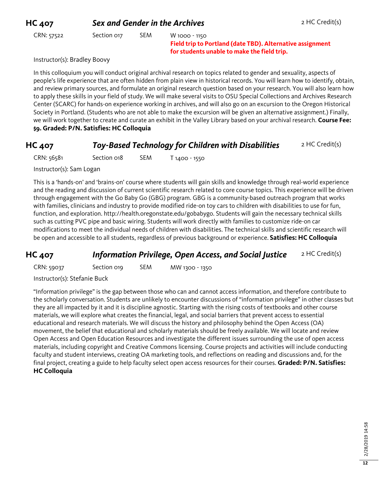### **HC 407 Sex and Gender in the Archives 2 HC Credit(s)**

CRN: 57522 Section 017 SEM W 1000 - 1150

**Field trip to Portland (date TBD). Alternative assignment for students unable to make the field trip.** 

Instructor(s): Bradley Boovy

In this colloquium you will conduct original archival research on topics related to gender and sexuality, aspects of people's life experience that are often hidden from plain view in historical records. You will learn how to identify, obtain, and review primary sources, and formulate an original research question based on your research. You will also learn how to apply these skills in your field of study. We will make several visits to OSU Special Collections and Archives Research Center (SCARC) for hands-on experience working in archives, and will also go on an excursion to the Oregon Historical Society in Portland. (Students who are not able to make the excursion will be given an alternative assignment.) Finally, we will work together to create and curate an exhibit in the Valley Library based on your archival research. **Course Fee: \$9. Graded: P/N. Satisfies: HC Colloquia**

#### **HC 407** *Toy-Based Technology for Children with Disabilities* 2 HC Credit(s)

CRN: 56581 Section 018 SEM T 1400 - 1550

Instructor(s): Sam Logan

This is a 'hands-on' and 'brains-on' course where students will gain skills and knowledge through real-world experience and the reading and discussion of current scientific research related to core course topics. This experience will be driven through engagement with the Go Baby Go (GBG) program. GBG is a community-based outreach program that works with families, clinicians and industry to provide modified ride-on toy cars to children with disabilities to use for fun, function, and exploration. http://health.oregonstate.edu/gobabygo. Students will gain the necessary technical skills such as cutting PVC pipe and basic wiring. Students will work directly with families to customize ride-on car modifications to meet the individual needs of children with disabilities. The technical skills and scientific research will be open and accessible to all students, regardless of previous background or experience. **Satisfies: HC Colloquia**

#### **HC 407** *Information Privilege, Open Access, and Social Justice* 2 HC Credit(s)

CRN: 59037 Section 019 SEM MW 1300 - 1350

Instructor(s): Stefanie Buck

"Information privilege" is the gap between those who can and cannot access information, and therefore contribute to the scholarly conversation. Students are unlikely to encounter discussions of "information privilege" in other classes but they are all impacted by it and it is discipline agnostic. Starting with the rising costs of textbooks and other course materials, we will explore what creates the financial, legal, and social barriers that prevent access to essential educational and research materials. We will discuss the history and philosophy behind the Open Access (OA) movement, the belief that educational and scholarly materials should be freely available. We will locate and review Open Access and Open Education Resources and investigate the different issues surrounding the use of open access materials, including copyright and Creative Commons licensing. Course projects and activities will include conducting faculty and student interviews, creating OA marketing tools, and reflections on reading and discussions and, for the final project, creating a guide to help faculty select open access resources for their courses. **Graded: P/N. Satisfies: HC Colloquia**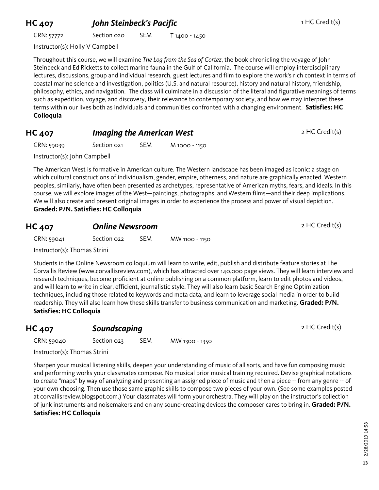## **HC 407** *John Steinbeck's Pacific* **1 HC Credit(s)** 1 HC Credit(s)

CRN: 57772 Section 020 SEM T 1400 - 1450

Instructor(s): Holly V Campbell

Throughout this course, we will examine *The Log from the Sea of Cortez*, the book chronicling the voyage of John Steinbeck and Ed Ricketts to collect marine fauna in the Gulf of California. The course will employ interdisciplinary lectures, discussions, group and individual research, guest lectures and film to explore the work's rich context in terms of coastal marine science and investigation, politics (U.S. and natural resource), history and natural history, friendship, philosophy, ethics, and navigation. The class will culminate in a discussion of the literal and figurative meanings of terms such as expedition, voyage, and discovery, their relevance to contemporary society, and how we may interpret these terms within our lives both as individuals and communities confronted with a changing environment. **Satisfies: HC Colloquia**

#### **HC 407** *Imaging the American West* 2 HC Credit(s)

CRN: 59039 Section 021 SEM M 1000 - 1150

Instructor(s): John Campbell

The American West is formative in American culture. The Western landscape has been imaged as iconic: a stage on which cultural constructions of individualism, gender, empire, otherness, and nature are graphically enacted. Western peoples, similarly, have often been presented as archetypes, representative of American myths, fears, and ideals. In this course, we will explore images of the West—paintings, photographs, and Western films—and their deep implications. We will also create and present original images in order to experience the process and power of visual depiction. **Graded: P/N. Satisfies: HC Colloquia**

| <b>HC 407</b>                | <b>Online Newsroom</b> |            |                | 2 HC Credit(s) |
|------------------------------|------------------------|------------|----------------|----------------|
| CRN: 59041                   | Section 022            | <b>SEM</b> | MW 1100 - 1150 |                |
| Instructor(s): Thomas Strini |                        |            |                |                |

Students in the Online Newsroom colloquium will learn to write, edit, publish and distribute feature stories at The Corvallis Review (www.corvallisreview.com), which has attracted over 140,000 page views. They will learn interview and research techniques, become proficient at online publishing on a common platform, learn to edit photos and videos, and will learn to write in clear, efficient, journalistic style. They will also learn basic Search Engine Optimization techniques, including those related to keywords and meta data, and learn to leverage social media in order to build readership. They will also learn how these skills transfer to business communication and marketing. **Graded: P/N. Satisfies: HC Colloquia**

#### **HC 407 Soundscaping 2 HC Credit(s)**

CRN: 59040 Section 023 SEM MW 1300 - 1350

Instructor(s): Thomas Strini

Sharpen your musical listening skills, deepen your understanding of music of all sorts, and have fun composing music and performing works your classmates compose. No musical prior musical training required. Devise graphical notations to create "maps" by way of analyzing and presenting an assigned piece of music and then a piece -- from any genre -- of your own choosing. Then use those same graphic skills to compose two pieces of your own. (See some examples posted at corvallisreview.blogspot.com.) Your classmates will form your orchestra. They will play on the instructor's collection of junk instruments and noisemakers and on any sound-creating devices the composer cares to bring in. **Graded: P/N. Satisfies: HC Colloquia**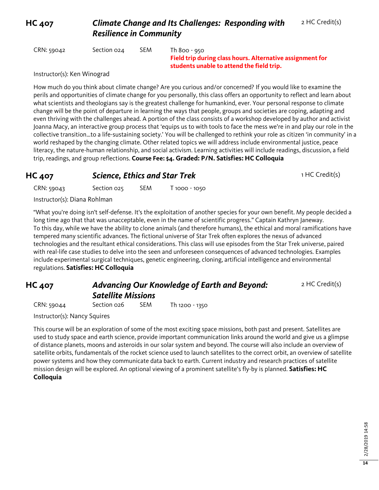#### **HC 407** *Climate Change and Its Challenges: Responding with Resilience in Community*

CRN: 59042 Section 024 SEM Th 800 - 950

**Field trip during class hours. Alternative assignment for students unable to attend the field trip.** 

Instructor(s): Ken Winograd

How much do you think about climate change? Are you curious and/or concerned? If you would like to examine the perils and opportunities of climate change for you personally, this class offers an opportunity to reflect and learn about what scientists and theologians say is the greatest challenge for humankind, ever. Your personal response to climate change will be the point of departure in learning the ways that people, groups and societies are coping, adapting and even thriving with the challenges ahead. A portion of the class consists of a workshop developed by author and activist Joanna Macy, an interactive group process that 'equips us to with tools to face the mess we're in and play our role in the collective transition…to a life-sustaining society.' You will be challenged to rethink your role as citizen 'in community' in a world reshaped by the changing climate. Other related topics we will address include environmental justice, peace literacy, the nature-human relationship, and social activism. Learning activities will include readings, discussion, a field trip, readings, and group reflections. **Course Fee: \$4. Graded: P/N. Satisfies: HC Colloquia**

#### **HC 407 Science, Ethics and Star Trek** 1 HC Credit(s)

2 HC Credit(s)

| CRN: 59043                   | Section 025 | <b>SEM</b> | $T1000 - 1050$ |
|------------------------------|-------------|------------|----------------|
| Instructor(s): Diana Rohlman |             |            |                |

"What you're doing isn't self-defense. It's the exploitation of another species for your own benefit. My people decided a long time ago that that was unacceptable, even in the name of scientific progress." Captain Kathryn Janeway. To this day, while we have the ability to clone animals (and therefore humans), the ethical and moral ramifications have tempered many scientific advances. The fictional universe of Star Trek often explores the nexus of advanced technologies and the resultant ethical considerations. This class will use episodes from the Star Trek universe, paired with real-life case studies to delve into the seen and unforeseen consequences of advanced technologies. Examples include experimental surgical techniques, genetic engineering, cloning, artificial intelligence and environmental regulations. **Satisfies: HC Colloquia**

#### **HC 407** *Advancing Our Knowledge of Earth and Beyond: Satellite Missions*

CRN: 59044 Section 026 SEM Th 1200 - 1350

Instructor(s): Nancy Squires

This course will be an exploration of some of the most exciting space missions, both past and present. Satellites are used to study space and earth science, provide important communication links around the world and give us a glimpse of distance planets, moons and asteroids in our solar system and beyond. The course will also include an overview of satellite orbits, fundamentals of the rocket science used to launch satellites to the correct orbit, an overview of satellite power systems and how they communicate data back to earth. Current industry and research practices of satellite mission design will be explored. An optional viewing of a prominent satellite's fly-by is planned. **Satisfies: HC Colloquia**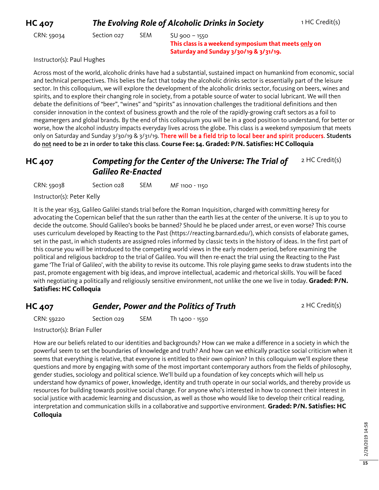| <b>HC 407</b> | The Evolving Role of Alcoholic Drinks in Society | 1 HC Credit(s) |                                                                                                                   |  |
|---------------|--------------------------------------------------|----------------|-------------------------------------------------------------------------------------------------------------------|--|
| CRN: 59034    | Section 027                                      | <b>SEM</b>     | $SU$ 900 – 1550<br>This class is a weekend symposium that meets only on<br>Saturday and Sunday 3/30/19 & 3/31/19. |  |

Instructor(s): Paul Hughes

Across most of the world, alcoholic drinks have had a substantial, sustained impact on humankind from economic, social and technical perspectives. This belies the fact that today the alcoholic drinks sector is essentially part of the leisure sector. In this colloquium, we will explore the development of the alcoholic drinks sector, focusing on beers, wines and spirits, and to explore their changing role in society, from a potable source of water to social lubricant. We will then debate the definitions of "beer", "wines" and "spirits" as innovation challenges the traditional definitions and then consider innovation in the context of business growth and the role of the rapidly-growing craft sectors as a foil to megamergers and global brands. By the end of this colloquium you will be in a good position to understand, for better or worse, how the alcohol industry impacts everyday lives across the globe. This class is a weekend symposium that meets only on Saturday and Sunday 3/30/19 & 3/31/19. There will be a field trip to local beer and spirit producers. Students do not need to be 21 in order to take this class. **Course Fee: \$4. Graded: P/N. Satisfies: HC Colloquia**

#### **HC 407** *Competing for the Center of the Universe: The Trial of Galileo Re-Enacted* 2 HC Credit(s)

CRN: 59038 Section 028 SEM MF 1100 - 1150

Instructor(s): Peter Kelly

It is the year 1633, Galileo Galilei stands trial before the Roman Inquisition, charged with committing heresy for advocating the Copernican belief that the sun rather than the earth lies at the center of the universe. It is up to you to decide the outcome. Should Galileo's books be banned? Should he be placed under arrest, or even worse? This course uses curriculum developed by Reacting to the Past (https://reacting.barnard.edu/), which consists of elaborate games, set in the past, in which students are assigned roles informed by classic texts in the history of ideas. In the first part of this course you will be introduced to the competing world views in the early modern period, before examining the political and religious backdrop to the trial of Galileo. You will then re-enact the trial using the Reacting to the Past game 'The Trial of Galileo', with the ability to revise its outcome. This role playing game seeks to draw students into the past, promote engagement with big ideas, and improve intellectual, academic and rhetorical skills. You will be faced with negotiating a politically and religiously sensitive environment, not unlike the one we live in today. **Graded: P/N. Satisfies: HC Colloquia**

#### **HC 407 Gender, Power and the Politics of Truth** 2 HC Credit(s)

CRN: 59220 Section 029 SEM Th 1400 - 1550

Instructor(s): Brian Fuller

How are our beliefs related to our identities and backgrounds? How can we make a difference in a society in which the powerful seem to set the boundaries of knowledge and truth? And how can we ethically practice social criticism when it seems that everything is relative, that everyone is entitled to their own opinion? In this colloquium we'll explore these questions and more by engaging with some of the most important contemporary authors from the fields of philosophy, gender studies, sociology and political science. We'll build up a foundation of key concepts which will help us understand how dynamics of power, knowledge, identity and truth operate in our social worlds, and thereby provide us resources for building towards positive social change. For anyone who's interested in how to connect their interest in social justice with academic learning and discussion, as well as those who would like to develop their critical reading, interpretation and communication skills in a collaborative and supportive environment. **Graded: P/N. Satisfies: HC Colloquia**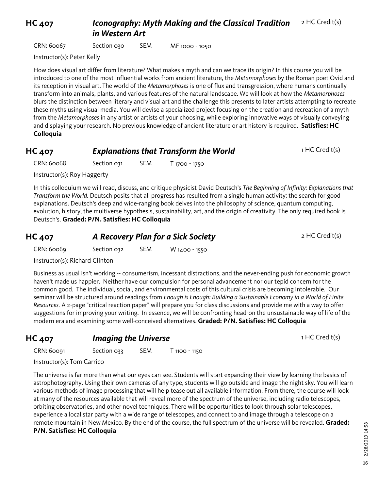**HC 407** *Iconography: Myth Making and the Classical Tradition in Western Art* 2 HC Credit(s)

CRN: 60067 Section 030 SEM MF 1000 - 1050

Instructor(s): Peter Kelly

How does visual art differ from literature? What makes a myth and can we trace its origin? In this course you will be introduced to one of the most influential works from ancient literature, the *Metamorphoses* by the Roman poet Ovid and its reception in visual art. The world of the *Metamorphoses* is one of flux and transgression, where humans continually transform into animals, plants, and various features of the natural landscape. We will look at how the *Metamorphoses* blurs the distinction between literary and visual art and the challenge this presents to later artists attempting to recreate these myths using visual media. You will devise a specialized project focusing on the creation and recreation of a myth from the *Metamorphoses* in any artist or artists of your choosing, while exploring innovative ways of visually conveying and displaying your research. No previous knowledge of ancient literature or art history is required. **Satisfies: HC Colloquia**

| <b>HC 407</b> | <b>Explanations that Transform the World</b> | 1 HC Credit(s) |
|---------------|----------------------------------------------|----------------|
|---------------|----------------------------------------------|----------------|

CRN: 60068 Section 031 SEM T 1700 - 1750

Instructor(s): Roy Haggerty

In this colloquium we will read, discuss, and critique physicist David Deutsch's *The Beginning of Infinity: Explanations that Transform the World.* Deutsch posits that all progress has resulted from a single human activity: the search for good explanations. Deutsch's deep and wide-ranging book delves into the philosophy of science, quantum computing, evolution, history, the multiverse hypothesis, sustainability, art, and the origin of creativity. The only required book is Deutsch's. **Graded: P/N. Satisfies: HC Colloquia**

| <b>HC 407</b> | A Recovery Plan for a Sick Society |     |               | 2 HC Credit(s) |
|---------------|------------------------------------|-----|---------------|----------------|
| CRN: 60069    | Section 032                        | SEM | W 1400 - 1550 |                |
|               |                                    |     |               |                |

Instructor(s): Richard Clinton

Business as usual isn't working -- consumerism, incessant distractions, and the never-ending push for economic growth haven't made us happier. Neither have our compulsion for personal advancement nor our tepid concern for the common good. The individual, social, and environmental costs of this cultural crisis are becoming intolerable. Our seminar will be structured around readings from *Enough is Enough: Building a Sustainable Economy in a World of Finite Resources.* A 2-page "critical reaction paper" will prepare you for class discussions and provide me with a way to offer suggestions for improving your writing. In essence, we will be confronting head-on the unsustainable way of life of the modern era and examining some well-conceived alternatives. **Graded: P/N. Satisfies: HC Colloquia**

**HC 407** *Imaging the Universe* 1 HC Credit(s)

CRN: 60091 Section 033 SEM T 1100 - 1150

Instructor(s): Tom Carrico

The universe is far more than what our eyes can see. Students will start expanding their view by learning the basics of astrophotography. Using their own cameras of any type, students will go outside and image the night sky. You will learn various methods of image processing that will help tease out all available information. From there, the course will look at many of the resources available that will reveal more of the spectrum of the universe, including radio telescopes, orbiting observatories, and other novel techniques. There will be opportunities to look through solar telescopes, experience a local star party with a wide range of telescopes, and connect to and image through a telescope on a remote mountain in New Mexico. By the end of the course, the full spectrum of the universe will be revealed. **Graded: P/N. Satisfies: HC Colloquia**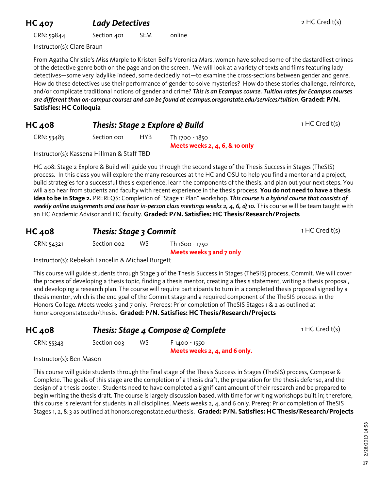#### **HC 407** *Lady Detectives* 2 HC Credit(s)

CRN: 59844 Section 401 SEM online

Instructor(s): Clare Braun

From Agatha Christie's Miss Marple to Kristen Bell's Veronica Mars, women have solved some of the dastardliest crimes of the detective genre both on the page and on the screen. We will look at a variety of texts and films featuring lady detectives—some very ladylike indeed, some decidedly not—to examine the cross-sections between gender and genre. How do these detectives use their performance of gender to solve mysteries? How do these stories challenge, reinforce, and/or complicate traditional notions of gender and crime? *This is an Ecampus course. Tuition rates for Ecampus courses are different than on-campus courses and can be found at ecampus.oregonstate.edu/services/tuition*. **Graded: P/N. Satisfies: HC Colloquia**

| <b>HC 408</b> | Thesis: Stage 2 Explore & Build | 1 HC Credit(s) |
|---------------|---------------------------------|----------------|
|               |                                 |                |

CRN: 53483 Section 001 HYB Th 1700 - 1850

**Meets weeks 2, 4, 6, & 10 only**

Instructor(s): Kassena Hillman & Staff TBD

HC 408: Stage 2 Explore & Build will guide you through the second stage of the Thesis Success in Stages (TheSIS) process. In this class you will explore the many resources at the HC and OSU to help you find a mentor and a project, build strategies for a successful thesis experience, learn the components of the thesis, and plan out your next steps. You will also hear from students and faculty with recent experience in the thesis process. **You do not need to have a thesis idea to be in Stage 2.** PREREQS: Completion of "Stage 1: Plan" workshop. *This course is a hybrid course that consists of weekly online assignments and one hour in-person class meetings weeks 2, 4, 6, & 10.* This course will be team taught with an HC Academic Advisor and HC faculty. **Graded: P/N. Satisfies: HC Thesis/Research/Projects**

#### **HC 408 Thesis: Stage 3 Commit** 1 HC Credit(s)

CRN: 54321 Section 002 WS Th 1600 - 1750

**Meets weeks 3 and 7 only**

**Meets weeks 2, 4, and 6 only.**

Instructor(s): Rebekah Lancelin & Michael Burgett

This course will guide students through Stage 3 of the Thesis Success in Stages (TheSIS) process, Commit. We will cover the process of developing a thesis topic, finding a thesis mentor, creating a thesis statement, writing a thesis proposal, and developing a research plan. The course will require participants to turn in a completed thesis proposal signed by a thesis mentor, which is the end goal of the Commit stage and a required component of the TheSIS process in the Honors College. Meets weeks 3 and 7 only. Prereqs: Prior completion of TheSIS Stages 1 & 2 as outlined at honors.oregonstate.edu/thesis. **Graded: P/N. Satisfies: HC Thesis/Research/Projects**

| <b>HC 408</b> |             | Thesis: Stage 4 Compose & Complete | 1 HC Credit(s) |  |
|---------------|-------------|------------------------------------|----------------|--|
| CRN: 55343    | Section oos | ws                                 | $F1400 - 1550$ |  |

Instructor(s): Ben Mason

This course will guide students through the final stage of the Thesis Success in Stages (TheSIS) process, Compose & Complete. The goals of this stage are the completion of a thesis draft, the preparation for the thesis defense, and the design of a thesis poster. Students need to have completed a significant amount of their research and be prepared to begin writing the thesis draft. The course is largely discussion based, with time for writing workshops built in; therefore, this course is relevant for students in all disciplines. Meets weeks 2, 4, and 6 only. Prereq: Prior completion of TheSIS Stages 1, 2, & 3 as outlined at honors.oregonstate.edu/thesis. **Graded: P/N. Satisfies: HC Thesis/Research/Projects**

> 2/28/2019 14:58 2/28/2019 14:58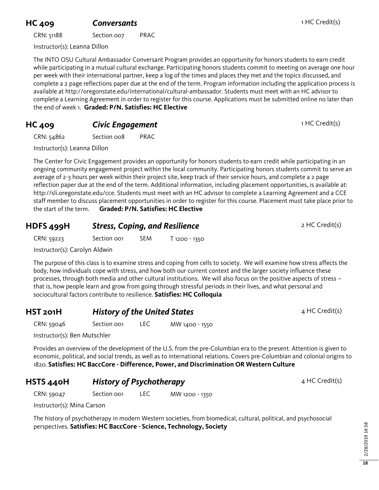#### **HC 409 Conversants Conversants 1 HC Credit(s)**

CRN: 51188 Section 007 PRAC

Instructor(s): Leanna Dillon

The INTO OSU Cultural Ambassador Conversant Program provides an opportunity for honors students to earn credit while participating in a mutual cultural exchange. Participating honors students commit to meeting on average one hour per week with their international partner, keep a log of the times and places they met and the topics discussed, and complete a 2 page reflections paper due at the end of the term. Program information including the application process is available at http://oregonstate.edu/international/cultural-ambassador. Students must meet with an HC advisor to complete a Learning Agreement in order to register for this course. Applications must be submitted online no later than the end of week 1. **Graded: P/N. Satisfies: HC Elective**

#### **HC 409 Civic Engagement** 1 HC Credit(s)

CRN: 54862 Section 008 PRAC

Instructor(s): Leanna Dillon

The Center for Civic Engagement provides an opportunity for honors students to earn credit while participating in an ongoing community engagement project within the local community. Participating honors students commit to serve an average of 2-3 hours per week within their project site, keep track of their service hours, and complete a 2 page reflection paper due at the end of the term. Additional information, including placement opportunities, is available at: http://sli.oregonstate.edu/cce. Students must meet with an HC advisor to complete a Learning Agreement and a CCE staff member to discuss placement opportunities in order to register for this course. Placement must take place prior to the start of the term. **Graded: P/N. Satisfies: HC Elective**

# **HDFS 499H Stress, Coping, and Resilience** 2 HC Credit(s)

CRN: 59223 Section 001 SEM T 1200 - 1350

Instructor(s): Carolyn Aldwin

The purpose of this class is to examine stress and coping from cells to society. We will examine how stress affects the body, how individuals cope with stress, and how both our current context and the larger society influence these processes, through both media and other cultural institutions. We will also focus on the positive aspects of stress – that is, how people learn and grow from going through stressful periods in their lives, and what personal and sociocultural factors contribute to resilience. **Satisfies: HC Colloquia**

#### **HST 201H History of the United States A HC Credit(s)** 4 HC Credit(s)

CRN: 59046 Section 001 LEC MW 1400 - 1550

Instructor(s): Ben Mutschler

Provides an overview of the development of the U.S. from the pre-Columbian era to the present. Attention is given to economic, political, and social trends, as well as to international relations. Covers pre-Columbian and colonial origins to 1820. **Satisfies: HC BaccCore - Difference, Power, and Discrimination OR Western Culture**

#### **HSTS 440H History of Psychotherapy** 4 HC Credit(s)

CRN: 59047 Section 001 LEC MW 1200 - 1350

Instructor(s): Mina Carson

The history of psychotherapy in modern Western societies, from biomedical, cultural, political, and psychosocial perspectives. **Satisfies: HC BaccCore - Science, Technology, Society**

**18**

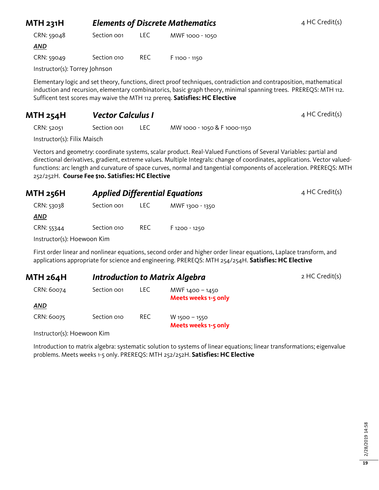| <b>MTH 231H</b>               | <b>Elements of Discrete Mathematics</b> |      |                                                                                                                    | 4 HC Credit(s) |
|-------------------------------|-----------------------------------------|------|--------------------------------------------------------------------------------------------------------------------|----------------|
| CRN: 59048                    | Section oo <sub>1</sub>                 | LEC. | MWF 1000 - 1050                                                                                                    |                |
| <b>AND</b>                    |                                         |      |                                                                                                                    |                |
| CRN: 59049                    | Section 010                             | REC. | F 1100 - 1150                                                                                                      |                |
| Instructor(s): Torrey Johnson |                                         |      |                                                                                                                    |                |
|                               |                                         |      | Flementary logic and set theory functions, direct proof techniques, contradiction and contraposition, mathematical |                |

Elementary logic and set theory, functions, direct proof techniques, contradiction and contraposition, mathematical induction and recursion, elementary combinatorics, basic graph theory, minimal spanning trees. PREREQS: MTH 112. Sufficent test scores may waive the MTH 112 prereq. **Satisfies: HC Elective**

# **MTH 254H** *Vector Calculus I* **4 HC Credit(s)**

CRN: 52051 Section 001 LEC MW 1000 - 1050 & F 1000-1150

Instructor(s): Filix Maisch

Vectors and geometry: coordinate systems, scalar product. Real-Valued Functions of Several Variables: partial and directional derivatives, gradient, extreme values. Multiple Integrals: change of coordinates, applications. Vector valuedfunctions: arc length and curvature of space curves, normal and tangential components of acceleration. PREREQS: MTH 252/252H. **Course Fee \$10. Satisfies: HC Elective**

| <b>MTH 256H</b>            |                         |      | <b>Applied Differential Equations</b> | $4$ HC Credit(s) |
|----------------------------|-------------------------|------|---------------------------------------|------------------|
| CRN: 53038                 | Section oo <sub>1</sub> | LEC. | MWF 1300 - 1350                       |                  |
| <u>AND</u>                 |                         |      |                                       |                  |
| CRN: 55344                 | Section 010             | REC  | F 1200 - 1250                         |                  |
| Instructor(s): Hoewoon Kim |                         |      |                                       |                  |

First order linear and nonlinear equations, second order and higher order linear equations, Laplace transform, and applications appropriate for science and engineering. PREREQS: MTH 254/254H. **Satisfies: HC Elective**

| MTH 264H   | <b>Introduction to Matrix Algebra</b> |      |                                         | 2 HC Credit(s) |
|------------|---------------------------------------|------|-----------------------------------------|----------------|
| CRN: 60074 | Section oo1                           | LEC. | MWF 1400 - 1450<br>Meets weeks 1-5 only |                |
| <u>AND</u> |                                       |      |                                         |                |
| CRN: 60075 | Section 010                           | REC. | $W$ 1500 – 1550<br>Meets weeks 1-5 only |                |

Instructor(s): Hoewoon Kim

Introduction to matrix algebra: systematic solution to systems of linear equations; linear transformations; eigenvalue problems. Meets weeks 1-5 only. PREREQS: MTH 252/252H. **Satisfies: HC Elective**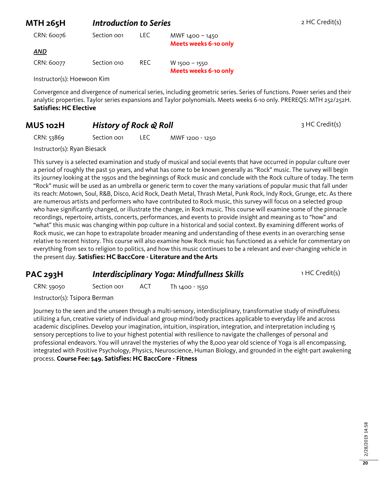| MTH 265H                   | Introduction to Series |      | 2 HC Credit(s)                                                                                                          |
|----------------------------|------------------------|------|-------------------------------------------------------------------------------------------------------------------------|
| CRN: 60076                 | Section oo1            | LEC. | MWF 1400 - 1450<br><b>Meets weeks 6-10 only</b>                                                                         |
| AND                        |                        |      |                                                                                                                         |
| CRN: 60077                 | Section 010            | REC. | $W$ 1500 - 1550<br><b>Meets weeks 6-10 only</b>                                                                         |
| Instructor(s): Hoewoon Kim |                        |      |                                                                                                                         |
|                            |                        |      | Convergence and divergence of numerical series, including geometric series. Series of functions. Power series and their |

analytic properties. Taylor series expansions and Taylor polynomials. Meets weeks 6-10 only. PREREQS: MTH 252/252H. **Satisfies: HC Elective**

#### **MUS 102H History of Rock & Roll** 3 HC Credit(s)

CRN: 53869 Section 001 LEC MWF 1200 - 1250

Instructor(s): Ryan Biesack

This survey is a selected examination and study of musical and social events that have occurred in popular culture over a period of roughly the past 50 years, and what has come to be known generally as "Rock" music. The survey will begin its journey looking at the 1950s and the beginnings of Rock music and conclude with the Rock culture of today. The term "Rock" music will be used as an umbrella or generic term to cover the many variations of popular music that fall under its reach: Motown, Soul, R&B, Disco, Acid Rock, Death Metal, Thrash Metal, Punk Rock, Indy Rock, Grunge, etc. As there are numerous artists and performers who have contributed to Rock music, this survey will focus on a selected group who have significantly changed, or illustrate the change, in Rock music. This course will examine some of the pinnacle recordings, repertoire, artists, concerts, performances, and events to provide insight and meaning as to "how" and "what" this music was changing within pop culture in a historical and social context. By examining different works of Rock music, we can hope to extrapolate broader meaning and understanding of these events in an overarching sense relative to recent history. This course will also examine how Rock music has functioned as a vehicle for commentary on everything from sex to religion to politics, and how this music continues to be a relevant and ever-changing vehicle in the present day. **Satisfies: HC BaccCore - Literature and the Arts**

#### **PAC 293H** *Interdisciplinary Yoga: Mindfullness Skills* 1 HC Credit(s)

CRN: 59050 Section 001 ACT Th 1400 - 1550

Instructor(s): Tsipora Berman

Journey to the seen and the unseen through a multi-sensory, interdisciplinary, transformative study of mindfulness utilizing a fun, creative variety of individual and group mind/body practices applicable to everyday life and across academic disciplines. Develop your imagination, intuition, inspiration, integration, and interpretation including 15 sensory perceptions to live to your highest potential with resilience to navigate the challenges of personal and professional endeavors. You will unravel the mysteries of why the 8,000 year old science of Yoga is all encompassing, integrated with Positive Psychology, Physics, Neuroscience, Human Biology, and grounded in the eight-part awakening process. **Course Fee: \$49. Satisfies: HC BaccCore - Fitness**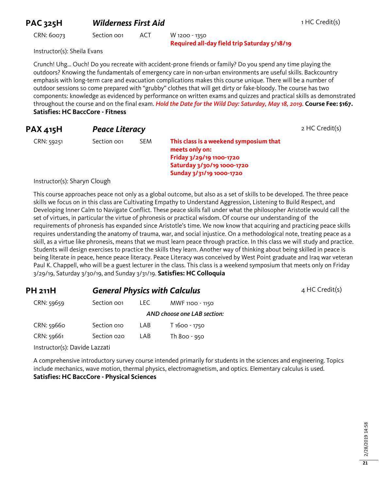#### **PAC 325H Wilderness First Aid** 1 HC Credit(s)

CRN: 60073 Section 001 ACT W 1200 - 1350

**Required all-day field trip Saturday 5/18/19**

Instructor(s): Sheila Evans

Crunch! Uhg… Ouch! Do you recreate with accident-prone friends or family? Do you spend any time playing the outdoors? Knowing the fundamentals of emergency care in non-urban environments are useful skills. Backcountry emphasis with long-term care and evacuation complications makes this course unique. There will be a number of outdoor sessions so come prepared with "grubby" clothes that will get dirty or fake-bloody. The course has two components: knowledge as evidenced by performance on written exams and quizzes and practical skills as demonstrated throughout the course and on the final exam. *Hold the Date for the Wild Day: Saturday, May 18, 2019*. **Course Fee: \$167. Satisfies: HC BaccCore - Fitness**

| <b>PAX 415H</b> | <b>Peace Literacy</b> |            |                                                                                                                                                | 2 HC Credit(s) |
|-----------------|-----------------------|------------|------------------------------------------------------------------------------------------------------------------------------------------------|----------------|
| CRN: 59251      | Section oo1           | <b>SEM</b> | This class is a weekend symposium that<br>meets only on:<br>Friday 3/29/19 1100-1720<br>Saturday 3/30/19 1000-1720<br>Sunday 3/31/19 1000-1720 |                |

Instructor(s): Sharyn Clough

This course approaches peace not only as a global outcome, but also as a set of skills to be developed. The three peace skills we focus on in this class are Cultivating Empathy to Understand Aggression, Listening to Build Respect, and Developing Inner Calm to Navigate Conflict. These peace skills fall under what the philosopher Aristotle would call the set of virtues, in particular the virtue of phronesis or practical wisdom. Of course our understanding of the requirements of phronesis has expanded since Aristotle's time. We now know that acquiring and practicing peace skills requires understanding the anatomy of trauma, war, and social injustice. On a methodological note, treating peace as a skill, as a virtue like phronesis, means that we must learn peace through practice. In this class we will study and practice. Students will design exercises to practice the skills they learn. Another way of thinking about being skilled in peace is being literate in peace, hence peace literacy. Peace Literacy was conceived by West Point graduate and Iraq war veteran Paul K. Chappell, who will be a guest lecturer in the class. This class is a weekend symposium that meets only on Friday 3/29/19, Saturday 3/30/19, and Sunday 3/31/19. **Satisfies: HC Colloquia**

| <b>PH 211H</b> | <b>General Physics with Calculus</b> |       |                             | 4 HC Credit(s) |
|----------------|--------------------------------------|-------|-----------------------------|----------------|
| CRN: 59659     | Section oo1                          | LEC . | MWF 1100 - 1150             |                |
|                |                                      |       | AND choose one LAB section: |                |

| CRN: 59660 | Section 010 | LAB | T 1600 - 1750 |
|------------|-------------|-----|---------------|
| CRN: 59661 | Section 020 | LAB | Th 800 - 950  |

Instructor(s): Davide Lazzati

A comprehensive introductory survey course intended primarily for students in the sciences and engineering. Topics include mechanics, wave motion, thermal physics, electromagnetism, and optics. Elementary calculus is used. **Satisfies: HC BaccCore - Physical Sciences**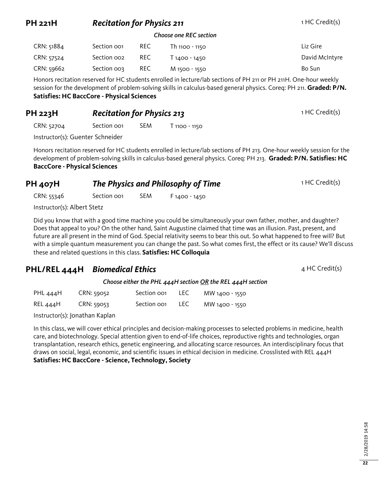### **PH 221H** *Recitation for Physics 211* **1 HC Credit(s)**

#### *Choose one REC section*

| CRN: 51884 | Section oo1             | REC.       | Th 1100 - 1150 | Liz Gire       |
|------------|-------------------------|------------|----------------|----------------|
| CRN: 57524 | Section oo <sub>2</sub> | REC.       | T 1400 - 1450  | David McIntyre |
| CRN: 59662 | Section oos             | <b>REC</b> | M 1500 - 1550  | Bo Sun         |

Honors recitation reserved for HC students enrolled in lecture/lab sections of PH 211 or PH 211H. One-hour weekly session for the development of problem-solving skills in calculus-based general physics. Coreq: PH 211. **Graded: P/N. Satisfies: HC BaccCore - Physical Sciences**

#### **PH 223H Recitation for Physics 213** 1 HC Credit(s)

CRN: 52704 Section 001 SEM T 1100 - 1150

Instructor(s): Guenter Schneider

Honors recitation reserved for HC students enrolled in lecture/lab sections of PH 213. One-hour weekly session for the development of problem-solving skills in calculus-based general physics. Coreq: PH 213. **Graded: P/N. Satisfies: HC BaccCore - Physical Sciences**

# **PH 407H** *The Physics and Philosophy of Time* 1 HC Credit(s)

CRN: 55346 Section 001 SEM F 1400 - 1450

Instructor(s): Albert Stetz

Did you know that with a good time machine you could be simultaneously your own father, mother, and daughter? Does that appeal to you? On the other hand, Saint Augustine claimed that time was an illusion. Past, present, and future are all present in the mind of God. Special relativity seems to bear this out. So what happened to free will? But with a simple quantum measurement you can change the past. So what comes first, the effect or its cause? We'll discuss these and related questions in this class. **Satisfies: HC Colloquia**

#### **PHL/REL 444H** *Biomedical Ethics* 4 HC Credit(s)

*Choose either the PHL 444H section OR the REL 444H section*

| PHL 444H | CRN: 59052 | Section oo1 | LEC        | MW 1400 - 1550 |
|----------|------------|-------------|------------|----------------|
| REL 444H | CRN: 59053 | Section oo1 | <b>LEC</b> | MW 1400 - 1550 |

Instructor(s): Jonathan Kaplan

In this class, we will cover ethical principles and decision-making processes to selected problems in medicine, health care, and biotechnology. Special attention given to end-of-life choices, reproductive rights and technologies, organ transplantation, research ethics, genetic engineering, and allocating scarce resources. An interdisciplinary focus that draws on social, legal, economic, and scientific issues in ethical decision in medicine. Crosslisted with REL 444H **Satisfies: HC BaccCore - Science, Technology, Society**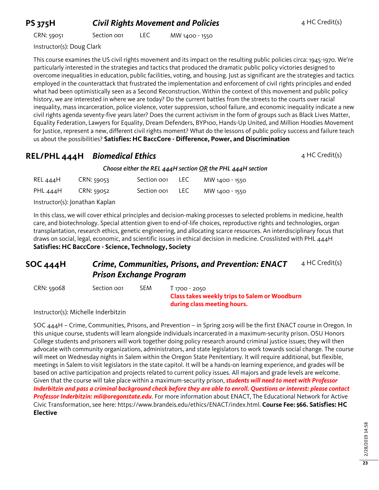# **PS 375H Civil Rights Movement and Policies** 4 HC Credit(s)

| CRN: 59051 | Section oo1 | <b>LEC</b> | MW 1400 - 1550 |
|------------|-------------|------------|----------------|
|------------|-------------|------------|----------------|

Instructor(s): Doug Clark

This course examines the US civil rights movement and its impact on the resulting public policies circa: 1945-1970. We're particularly interested in the strategies and tactics that produced the dramatic public policy victories designed to overcome inequalities in education, public facilities, voting, and housing. Just as significant are the strategies and tactics employed in the counterattack that frustrated the implementation and enforcement of civil rights principles and ended what had been optimistically seen as a Second Reconstruction. Within the context of this movement and public policy history, we are interested in where we are today? Do the current battles from the streets to the courts over racial inequality, mass incarceration, police violence, voter suppression, school failure, and economic inequality indicate a new civil rights agenda seventy-five years later? Does the current activism in the form of groups such as Black Lives Matter, Equality Federation, Lawyers for Equality, Dream Defenders, BYP100, Hands-Up United, and Million Hoodies Movement for Justice, represent a new, different civil rights moment? What do the lessons of public policy success and failure teach us about the possibilities? **Satisfies: HC BaccCore - Difference, Power, and Discrimination**

#### **REL/PHL 444H** *Biomedical Ethics* **Additional American AMPL 4 HC Credit(s)**

*Choose either the REL 444H section OR the PHL 444H section*

| REL 444H                       | <b>CRN: 59053</b> | Section oo1 | LEC. | MW 1400 - 1550 |
|--------------------------------|-------------------|-------------|------|----------------|
| PHL 444H                       | CRN: 59052        | Section oo1 | LEC. | MW 1400 - 1550 |
| Instructor(s): Jonathan Kaplan |                   |             |      |                |

In this class, we will cover ethical principles and decision-making processes to selected problems in medicine, health care, and biotechnology. Special attention given to end-of-life choices, reproductive rights and technologies, organ transplantation, research ethics, genetic engineering, and allocating scarce resources. An interdisciplinary focus that draws on social, legal, economic, and scientific issues in ethical decision in medicine. Crosslisted with PHL 444H **Satisfies: HC BaccCore - Science, Technology, Society**

#### **SOC 444H** *Crime, Communities, Prisons, and Prevention: ENACT Prison Exchange Program* 4 HC Credit(s)

CRN: 59068 Section 001 SEM T 1700 - 2050

**Class takes weekly trips to Salem or Woodburn during class meeting hours.**

Instructor(s): Michelle Inderbitzin

SOC 444H – Crime, Communities, Prisons, and Prevention – in Spring 2019 will be the first ENACT course in Oregon. In this unique course, students will learn alongside individuals incarcerated in a maximum-security prison. OSU Honors College students and prisoners will work together doing policy research around criminal justice issues; they will then advocate with community organizations, administrators, and state legislators to work towards social change. The course will meet on Wednesday nights in Salem within the Oregon State Penitentiary. It will require additional, but flexible, meetings in Salem to visit legislators in the state capitol. It will be a hands-on learning experience, and grades will be based on active participation and projects related to current policy issues. All majors and grade levels are welcome. Given that the course will take place within a maximum-security prison, *students will need to meet with Professor Inderbitzin and pass a criminal background check before they are able to enroll. Questions or interest: please contact Professor Inderbitzin: mli@oregonstate.edu*. For more information about ENACT, The Educational Network for Active Civic Transformation, see here: https://www.brandeis.edu/ethics/ENACT/index.html. **Course Fee: \$66. Satisfies: HC Elective**